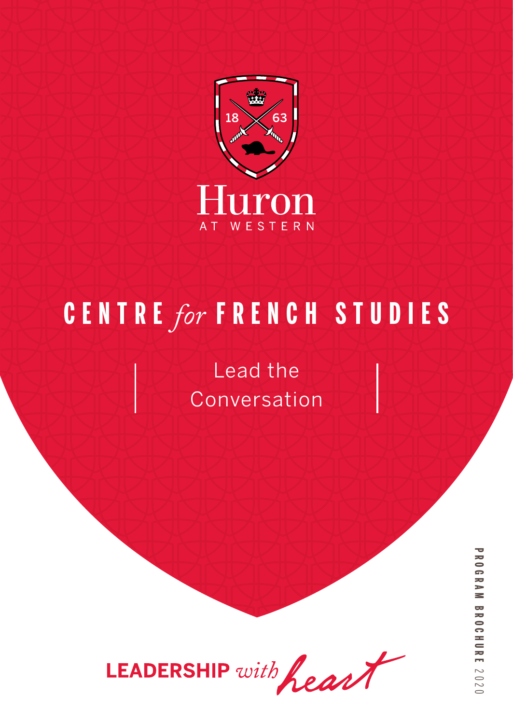

# **C E N T R E** *for* **FRENCH STUDIES**

Lead the Conversation



**PROGRAM BROCHUREPROGRAM BROCHOLM 2020**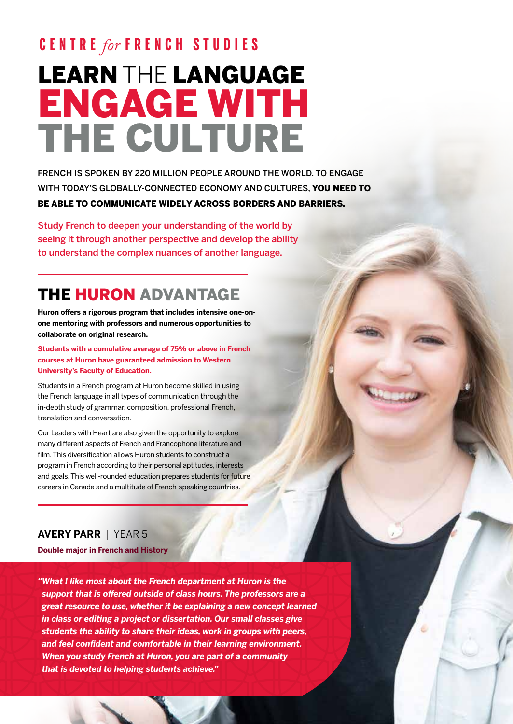# LEARN THE LANGUAGE ENGAGE WITH THE CULTURE **C E N T R E** *for* **FRENCH STUDIES**

FRENCH IS SPOKEN BY 220 MILLION PEOPLE AROUND THE WORLD. TO ENGAGE WITH TODAY'S GLOBALLY-CONNECTED ECONOMY AND CULTURES, YOU NEED TO BE ABLE TO COMMUNICATE WIDELY ACROSS BORDERS AND BARRIERS.

Study French to deepen your understanding of the world by seeing it through another perspective and develop the ability to understand the complex nuances of another language.

## THE HURON ADVANTAGE

**Huron offers a rigorous program that includes intensive one-onone mentoring with professors and numerous opportunities to collaborate on original research.**

**Students with a cumulative average of 75% or above in French courses at Huron have guaranteed admission to Western University's Faculty of Education.** 

Students in a French program at Huron become skilled in using the French language in all types of communication through the in-depth study of grammar, composition, professional French, translation and conversation.

Our Leaders with Heart are also given the opportunity to explore many different aspects of French and Francophone literature and film. This diversification allows Huron students to construct a program in French according to their personal aptitudes, interests and goals. This well-rounded education prepares students for future careers in Canada and a multitude of French-speaking countries.

### **AVERY PARR** | YEAR 5

**Double major in French and History**

*"What I like most about the French department at Huron is the support that is offered outside of class hours. The professors are a great resource to use, whether it be explaining a new concept learned in class or editing a project or dissertation. Our small classes give students the ability to share their ideas, work in groups with peers, and feel confident and comfortable in their learning environment. When you study French at Huron, you are part of a community that is devoted to helping students achieve."*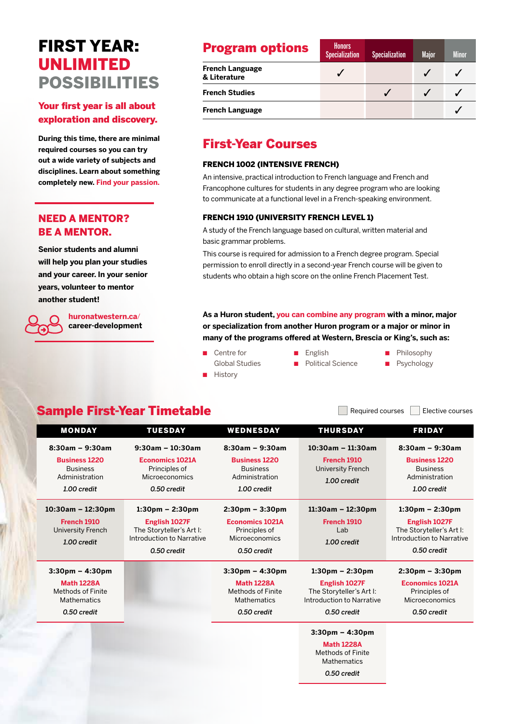### FIRST YEAR: UNLIMITED POSSIBILITIES

### Your first year is all about exploration and discovery.

**During this time, there are minimal required courses so you can try out a wide variety of subjects and disciplines. Learn about something completely new. Find your passion.**

### NEED A MENTOR? BE A MENTOR.

**Senior students and alumni will help you plan your studies and your career. In your senior years, volunteer to mentor another student!** 

> **huronatwestern.ca**/ **career-development**

| <b>Program options</b>                 | <b>Honors</b><br><b>Specialization</b> | <b>Specialization</b> | <b>Major</b> | <b>Minor</b> |
|----------------------------------------|----------------------------------------|-----------------------|--------------|--------------|
| <b>French Language</b><br>& Literature |                                        |                       |              |              |
| <b>French Studies</b>                  |                                        |                       |              |              |
| <b>French Language</b>                 |                                        |                       |              |              |

### First-Year Courses

#### FRENCH 1002 (INTENSIVE FRENCH)

An intensive, practical introduction to French language and French and Francophone cultures for students in any degree program who are looking to communicate at a functional level in a French-speaking environment.

#### FRENCH 1910 (UNIVERSITY FRENCH LEVEL 1)

A study of the French language based on cultural, written material and basic grammar problems.

This course is required for admission to a French degree program. Special permission to enroll directly in a second-year French course will be given to students who obtain a high score on the online French Placement Test.

**As a Huron student, you can combine any program with a minor, major or specialization from another Huron program or a major or minor in many of the programs offered at Western, Brescia or King's, such as:**

- Centre for Global Studies **History**
- English ■ Political Science
- Philosophy
- Psychology

### Sample First-Year Timetable **Sample First-Year Timetable**

MONDAY TUESDAY WEDNESDAY THURSDAY FRIDAY **8:30am – 9:30am Business 1220** Business Administration *1.00 credit* **9:30am – 10:30am Economics 1021A** Principles of **Microeconomics** *0.50 credit* **8:30am – 9:30am Business 1220** Business Administration *1.00 credit* **10:30am – 11:30am French 1910** University French *1.00 credit* **8:30am – 9:30am Business 1220** Business Administration *1.00 credit* **10:30am – 12:30pm French 1910** University French *1.00 credit* **1:30pm – 2:30pm English 1027F** The Storyteller's Art I: Introduction to Narrative *0.50 credit* **2:30pm – 3:30pm Economics 1021A** Principles of Microeconomics *0.50 credit* **11:30am – 12:30pm French 1910** Lab *1.00 credit* **1:30pm – 2:30pm English 1027F** The Storyteller's Art I: Introduction to Narrative *0.50 credit* **3:30pm – 4:30pm Math 1228A** Methods of Finite **Mathematics** *0.50 credit* **3:30pm – 4:30pm Math 1228A** Methods of Finite Mathematics *0.50 credit* **1:30pm – 2:30pm English 1027F** The Storyteller's Art I: Introduction to Narrative *0.50 credit* **2:30pm – 3:30pm Economics 1021A** Principles of Microeconomics *0.50 credit* **3:30pm – 4:30pm Math 1228A** Methods of Finite **Mathematics** 

*0.50 credit*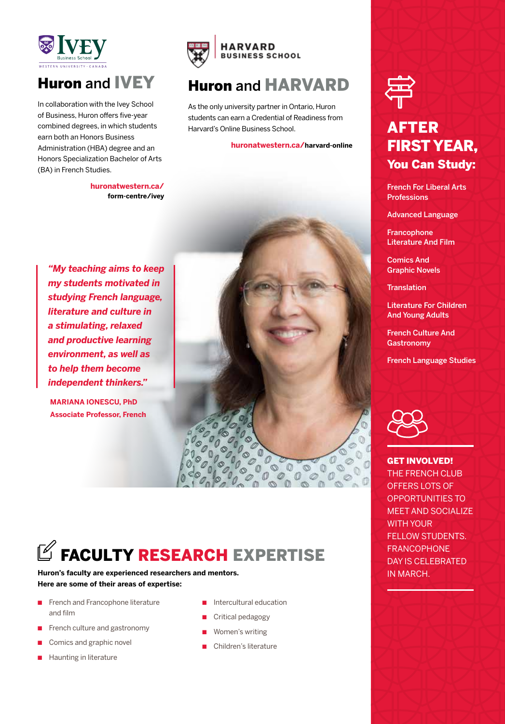

## Huron and IVEY

In collaboration with the Ivey School of Business, Huron offers five-year combined degrees, in which students earn both an Honors Business Administration (HBA) degree and an Honors Specialization Bachelor of Arts (BA) in French Studies.

> **huronatwestern.ca/ form-centre/ivey**



### Huron and HARVARD

As the only university partner in Ontario, Huron students can earn a Credential of Readiness from Harvard's Online Business School.

#### **huronatwestern.ca/harvard-online**

*"My teaching aims to keep my students motivated in studying French language, literature and culture in a stimulating, relaxed and productive learning environment, as well as to help them become independent thinkers."*

**MARIANA IONESCU, PhD Associate Professor, French**



# $\mathbb Z$  FACULTY RESEARCH EXPERTISE

**Huron's faculty are experienced researchers and mentors. Here are some of their areas of expertise:**

- French and Francophone literature and film
- French culture and gastronomy
- Comics and graphic novel
- Haunting in literature
- Intercultural education
- Critical pedagogy
- Women's writing
- Children's literature



### AFTER FIRST YEAR, You Can Study:

French For Liberal Arts **Professions** 

Advanced Language

Francophone Literature And Film

Comics And Graphic Novels

**Translation** 

Literature For Children And Young Adults

French Culture And **Gastronomy** 

French Language Studies



GET INVOLVED! THE FRENCH CLUB OFFERS LOTS OF OPPORTUNITIES TO MEET AND SOCIALIZE WITH YOUR FELLOW STUDENTS. FRANCOPHONE DAY IS CELEBRATED IN MARCH.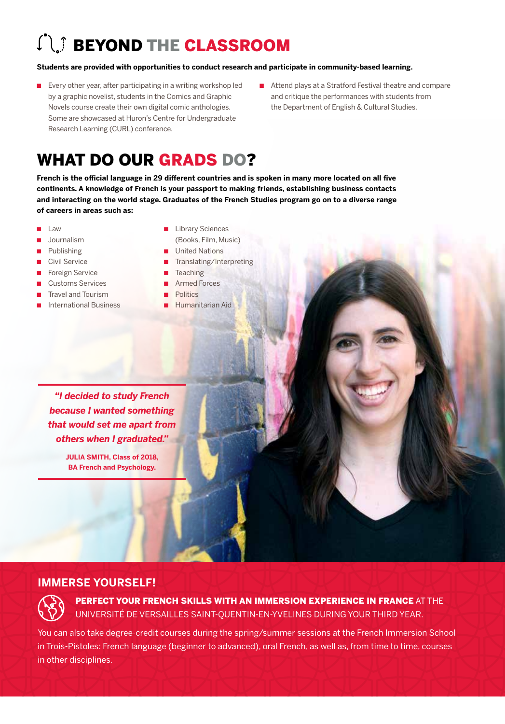# **COND THE CLASSROOM**

#### **Students are provided with opportunities to conduct research and participate in community-based learning.**

- Every other year, after participating in a writing workshop led by a graphic novelist, students in the Comics and Graphic Novels course create their own digital comic anthologies. Some are showcased at Huron's Centre for Undergraduate Research Learning (CURL) conference.
- Attend plays at a Stratford Festival theatre and compare and critique the performances with students from the Department of English & Cultural Studies.

# WHAT DO OUR GRADS DO?

**French is the official language in 29 different countries and is spoken in many more located on all five continents. A knowledge of French is your passport to making friends, establishing business contacts and interacting on the world stage. Graduates of the French Studies program go on to a diverse range of careers in areas such as:** 

- **Law**
- Journalism
- **Publishing**
- Civil Service
- Foreign Service
- Customs Services
- **Travel and Tourism**
- **International Business**
- Library Sciences
- (Books, Film, Music)
- **United Nations**
- Translating/Interpreting
- **Teaching** 
	- Armed Forces
- **Politics**
- Humanitarian Aid

*"I decided to study French because I wanted something that would set me apart from others when I graduated."* 

> **JULIA SMITH, Class of 2018, BA French and Psychology.**

### **IMMERSE YOURSELF!**



PERFECT YOUR FRENCH SKILLS WITH AN IMMERSION EXPERIENCE IN FRANCE AT THE UNIVERSITÉ DE VERSAILLES SAINT-QUENTIN-EN-YVELINES DURING YOUR THIRD YEAR.

You can also take degree-credit courses during the spring/summer sessions at the French Immersion School in Trois-Pistoles: French language (beginner to advanced), oral French, as well as, from time to time, courses in other disciplines.